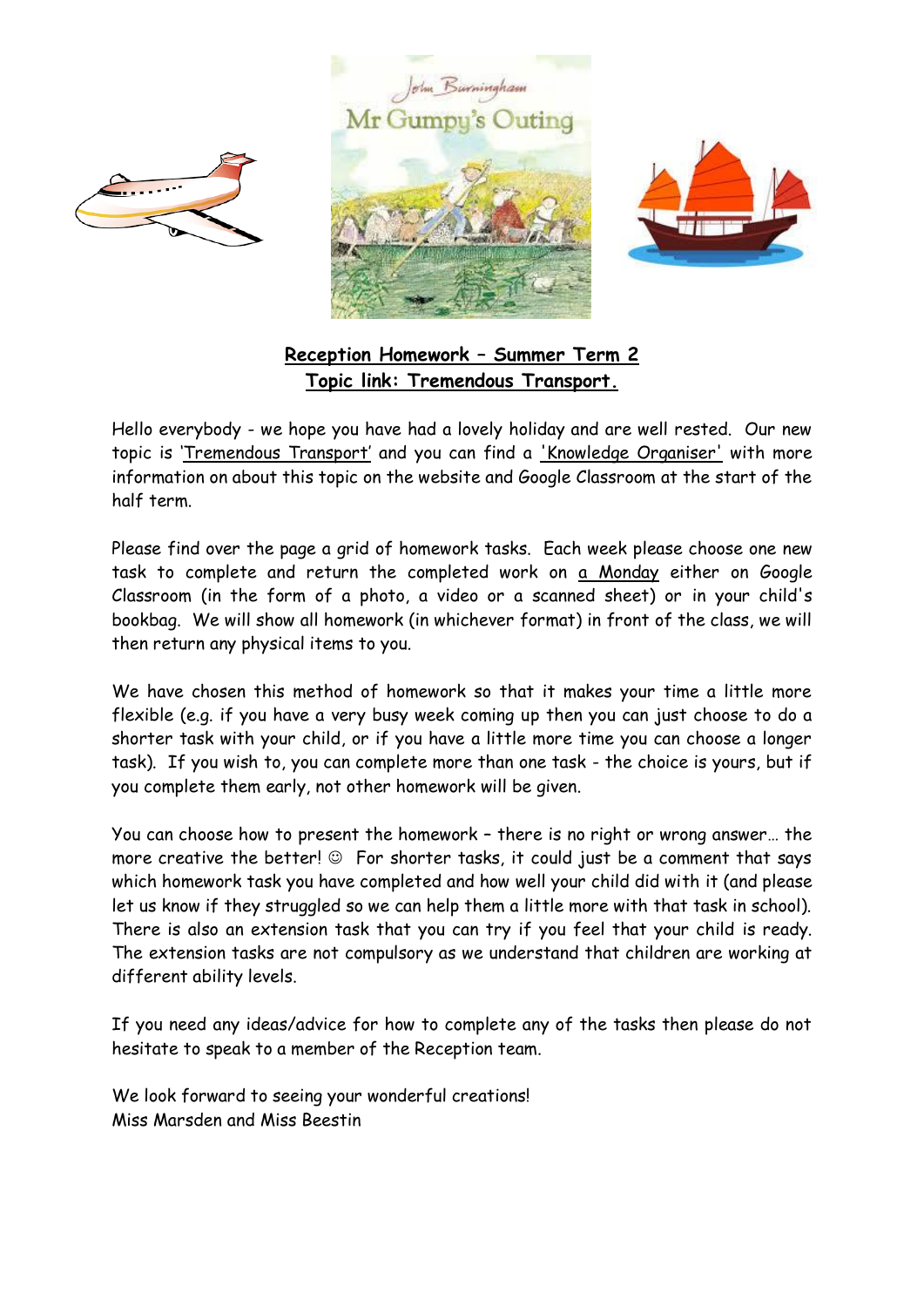





## **Reception Homework – Summer Term 2 Topic link: Tremendous Transport.**

Hello everybody - we hope you have had a lovely holiday and are well rested. Our new topic is 'Tremendous Transport' and you can find a 'Knowledge Organiser' with more information on about this topic on the website and Google Classroom at the start of the half term.

Please find over the page a grid of homework tasks. Each week please choose one new task to complete and return the completed work on a Monday either on Google Classroom (in the form of a photo, a video or a scanned sheet) or in your child's bookbag. We will show all homework (in whichever format) in front of the class, we will then return any physical items to you.

We have chosen this method of homework so that it makes your time a little more flexible (e.g. if you have a very busy week coming up then you can just choose to do a shorter task with your child, or if you have a little more time you can choose a longer task). If you wish to, you can complete more than one task - the choice is yours, but if you complete them early, not other homework will be given.

You can choose how to present the homework – there is no right or wrong answer… the more creative the better!  $\odot$  For shorter tasks, it could just be a comment that says which homework task you have completed and how well your child did with it (and please let us know if they struggled so we can help them a little more with that task in school). There is also an extension task that you can try if you feel that your child is ready. The extension tasks are not compulsory as we understand that children are working at different ability levels.

If you need any ideas/advice for how to complete any of the tasks then please do not hesitate to speak to a member of the Reception team.

We look forward to seeing your wonderful creations! Miss Marsden and Miss Beestin